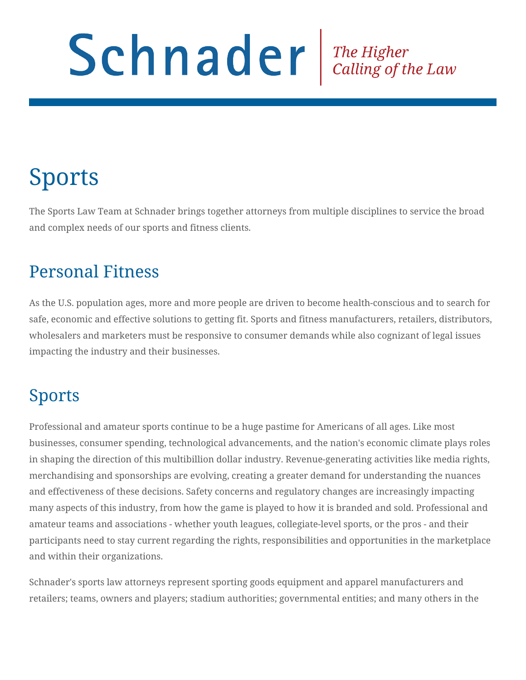# Schnader The Higher Calling of the Law

# Sports

The Sports Law Team at Schnader brings together attorneys from multiple disciplines to service the broad and complex needs of our sports and fitness clients.

### Personal Fitness

As the U.S. population ages, more and more people are driven to become health-conscious and to search for safe, economic and effective solutions to getting fit. Sports and fitness manufacturers, retailers, distributors, wholesalers and marketers must be responsive to consumer demands while also cognizant of legal issues impacting the industry and their businesses.

## Sports

Professional and amateur sports continue to be a huge pastime for Americans of all ages. Like most businesses, consumer spending, technological advancements, and the nation's economic climate plays roles in shaping the direction of this multibillion dollar industry. Revenue-generating activities like media rights, merchandising and sponsorships are evolving, creating a greater demand for understanding the nuances and effectiveness of these decisions. Safety concerns and regulatory changes are increasingly impacting many aspects of this industry, from how the game is played to how it is branded and sold. Professional and amateur teams and associations - whether youth leagues, collegiate-level sports, or the pros - and their participants need to stay current regarding the rights, responsibilities and opportunities in the marketplace and within their organizations.

Schnader's sports law attorneys represent sporting goods equipment and apparel manufacturers and retailers; teams, owners and players; stadium authorities; governmental entities; and many others in the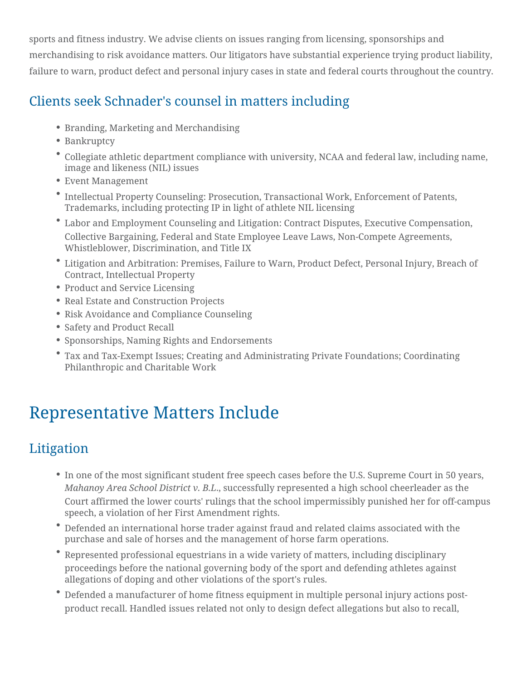sports and fitness industry. We advise clients on issues ranging from licensing, sponsorships and merchandising to risk avoidance matters. Our litigators have substantial experience trying product liability, failure to warn, product defect and personal injury cases in state and federal courts throughout the country.

#### Clients seek Schnader's counsel in matters including

- Branding, Marketing and Merchandising
- Bankruptcy
- Collegiate athletic department compliance with university, NCAA and federal law, including name, image and likeness (NIL) issues
- Event Management
- Intellectual Property Counseling: Prosecution, Transactional Work, Enforcement of Patents, Trademarks, including protecting IP in light of athlete NIL licensing
- Labor and Employment Counseling and Litigation: Contract Disputes, Executive Compensation, Collective Bargaining, Federal and State Employee Leave Laws, Non-Compete Agreements, Whistleblower, Discrimination, and Title IX
- Litigation and Arbitration: Premises, Failure to Warn, Product Defect, Personal Injury, Breach of Contract, Intellectual Property
- Product and Service Licensing
- Real Estate and Construction Projects
- Risk Avoidance and Compliance Counseling
- Safety and Product Recall
- Sponsorships, Naming Rights and Endorsements
- Tax and Tax-Exempt Issues; Creating and Administrating Private Foundations; Coordinating Philanthropic and Charitable Work

# Representative Matters Include

#### Litigation

- In one of the most significant student free speech cases before the U.S. Supreme Court in 50 years, *Mahanoy Area School District v. B.L*., successfully represented a high school cheerleader as the Court affirmed the lower courts' rulings that the school impermissibly punished her for off-campus speech, a violation of her First Amendment rights.
- Defended an international horse trader against fraud and related claims associated with the purchase and sale of horses and the management of horse farm operations.
- Represented professional equestrians in a wide variety of matters, including disciplinary proceedings before the national governing body of the sport and defending athletes against allegations of doping and other violations of the sport's rules.
- Defended a manufacturer of home fitness equipment in multiple personal injury actions postproduct recall. Handled issues related not only to design defect allegations but also to recall,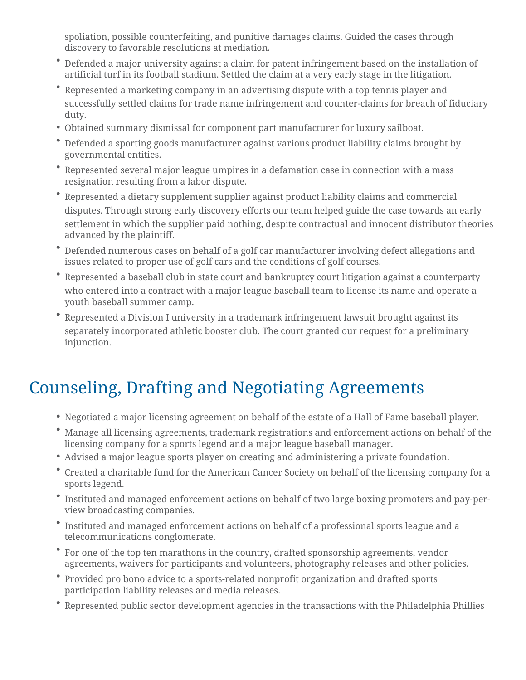spoliation, possible counterfeiting, and punitive damages claims. Guided the cases through discovery to favorable resolutions at mediation.

- Defended a major university against a claim for patent infringement based on the installation of artificial turf in its football stadium. Settled the claim at a very early stage in the litigation.
- Represented a marketing company in an advertising dispute with a top tennis player and successfully settled claims for trade name infringement and counter-claims for breach of fiduciary duty.
- Obtained summary dismissal for component part manufacturer for luxury sailboat.
- Defended a sporting goods manufacturer against various product liability claims brought by governmental entities.
- Represented several major league umpires in a defamation case in connection with a mass resignation resulting from a labor dispute.
- Represented a dietary supplement supplier against product liability claims and commercial disputes. Through strong early discovery efforts our team helped guide the case towards an early settlement in which the supplier paid nothing, despite contractual and innocent distributor theories advanced by the plaintiff.
- Defended numerous cases on behalf of a golf car manufacturer involving defect allegations and issues related to proper use of golf cars and the conditions of golf courses.
- Represented a baseball club in state court and bankruptcy court litigation against a counterparty who entered into a contract with a major league baseball team to license its name and operate a youth baseball summer camp.
- Represented a Division I university in a trademark infringement lawsuit brought against its separately incorporated athletic booster club. The court granted our request for a preliminary injunction.

# Counseling, Drafting and Negotiating Agreements

- Negotiated a major licensing agreement on behalf of the estate of a Hall of Fame baseball player.
- Manage all licensing agreements, trademark registrations and enforcement actions on behalf of the licensing company for a sports legend and a major league baseball manager.
- Advised a major league sports player on creating and administering a private foundation.
- Created a charitable fund for the American Cancer Society on behalf of the licensing company for a sports legend.
- Instituted and managed enforcement actions on behalf of two large boxing promoters and pay-perview broadcasting companies.
- Instituted and managed enforcement actions on behalf of a professional sports league and a telecommunications conglomerate.
- For one of the top ten marathons in the country, drafted sponsorship agreements, vendor agreements, waivers for participants and volunteers, photography releases and other policies.
- Provided pro bono advice to a sports-related nonprofit organization and drafted sports participation liability releases and media releases.
- Represented public sector development agencies in the transactions with the Philadelphia Phillies